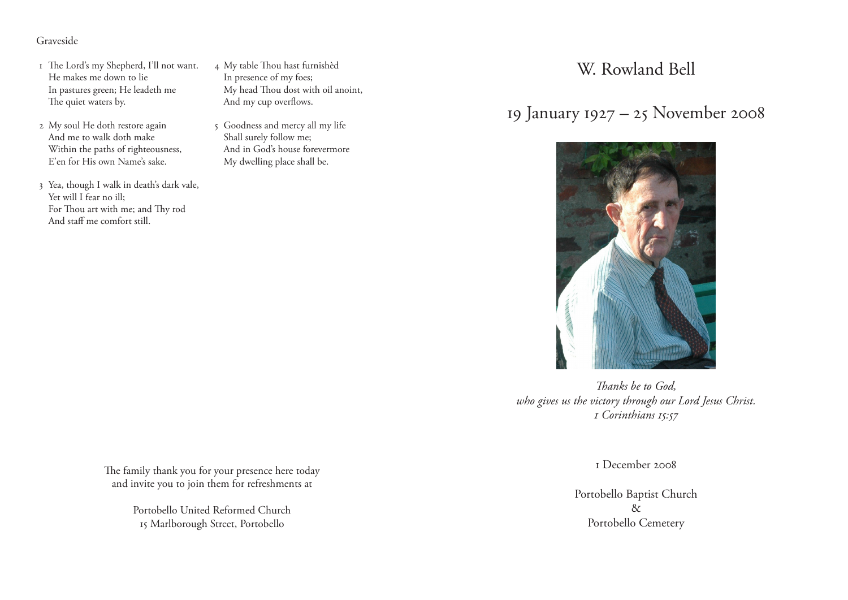### Graveside

- 1 The Lord's my Shepherd, I'll not want. He makes me down to lie In pastures green; He leadeth me The quiet waters by.
- 2 My soul He doth restore again And me to walk doth make Within the paths of righteousness, E'en for His own Name's sake.
- 3 Yea, though I walk in death's dark vale, Yet will I fear no ill; For Thou art with me; and Thy rod And staff me comfort still.
- 4 My table Thou hast furnishèd In presence of my foes; My head Thou dost with oil anoint, And my cup overflows.
- 5 Goodness and mercy all my life Shall surely follow me; And in God's house forevermore My dwelling place shall be.

W. Rowland Bell

# 19 January 1927 – 25 November 2008



*Thanks be to God, who gives us the victory through our Lord Jesus Christ. 1 Corinthians 15:57*

1 December 2008

Portobello Baptist Church & Portobello Cemetery

The family thank you for your presence here today and invite you to join them for refreshments at

> Portobello United Reformed Church 15 Marlborough Street, Portobello